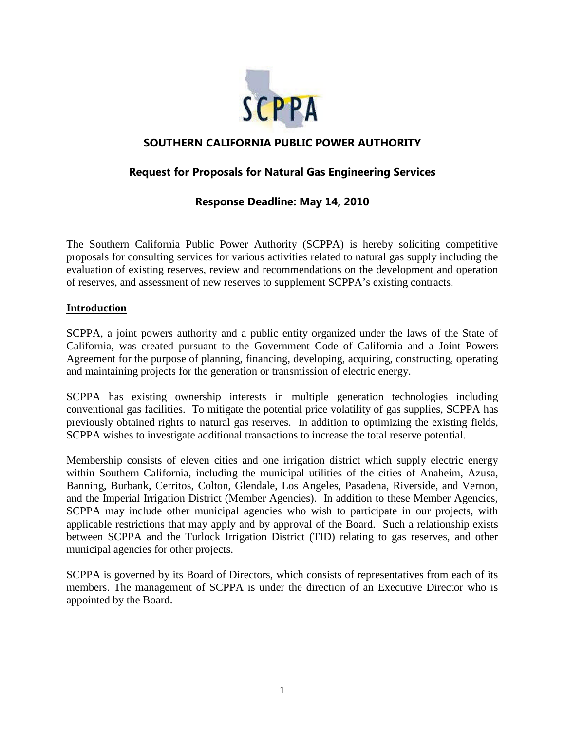

# **SOUTHERN CALIFORNIA PUBLIC POWER AUTHORITY**

# **Request for Proposals for Natural Gas Engineering Services**

# **Response Deadline: May 14, 2010**

The Southern California Public Power Authority (SCPPA) is hereby soliciting competitive proposals for consulting services for various activities related to natural gas supply including the evaluation of existing reserves, review and recommendations on the development and operation of reserves, and assessment of new reserves to supplement SCPPA's existing contracts.

#### **Introduction**

SCPPA, a joint powers authority and a public entity organized under the laws of the State of California, was created pursuant to the Government Code of California and a Joint Powers Agreement for the purpose of planning, financing, developing, acquiring, constructing, operating and maintaining projects for the generation or transmission of electric energy.

SCPPA has existing ownership interests in multiple generation technologies including conventional gas facilities. To mitigate the potential price volatility of gas supplies, SCPPA has previously obtained rights to natural gas reserves. In addition to optimizing the existing fields, SCPPA wishes to investigate additional transactions to increase the total reserve potential.

Membership consists of eleven cities and one irrigation district which supply electric energy within Southern California, including the municipal utilities of the cities of Anaheim, Azusa, Banning, Burbank, Cerritos, Colton, Glendale, Los Angeles, Pasadena, Riverside, and Vernon, and the Imperial Irrigation District (Member Agencies). In addition to these Member Agencies, SCPPA may include other municipal agencies who wish to participate in our projects, with applicable restrictions that may apply and by approval of the Board. Such a relationship exists between SCPPA and the Turlock Irrigation District (TID) relating to gas reserves, and other municipal agencies for other projects.

SCPPA is governed by its Board of Directors, which consists of representatives from each of its members. The management of SCPPA is under the direction of an Executive Director who is appointed by the Board.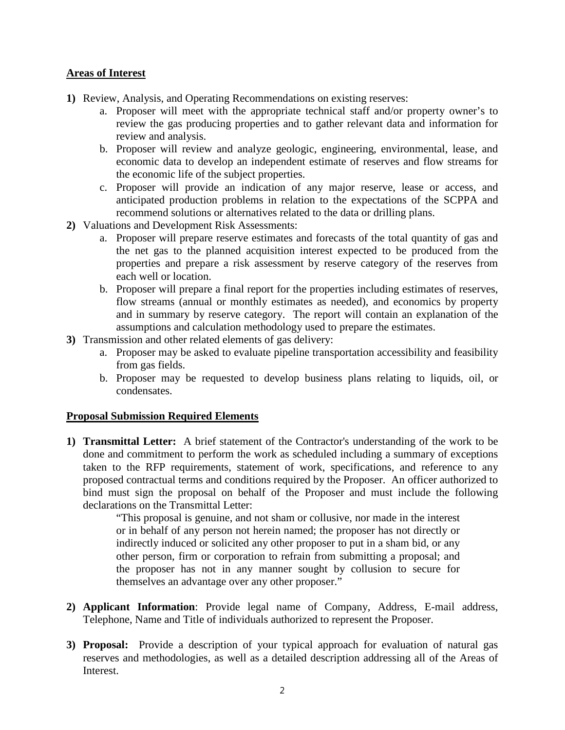### **Areas of Interest**

- **1)** Review, Analysis, and Operating Recommendations on existing reserves:
	- a. Proposer will meet with the appropriate technical staff and/or property owner's to review the gas producing properties and to gather relevant data and information for review and analysis.
	- b. Proposer will review and analyze geologic, engineering, environmental, lease, and economic data to develop an independent estimate of reserves and flow streams for the economic life of the subject properties.
	- c. Proposer will provide an indication of any major reserve, lease or access, and anticipated production problems in relation to the expectations of the SCPPA and recommend solutions or alternatives related to the data or drilling plans.
- **2)** Valuations and Development Risk Assessments:
	- a. Proposer will prepare reserve estimates and forecasts of the total quantity of gas and the net gas to the planned acquisition interest expected to be produced from the properties and prepare a risk assessment by reserve category of the reserves from each well or location.
	- b. Proposer will prepare a final report for the properties including estimates of reserves, flow streams (annual or monthly estimates as needed), and economics by property and in summary by reserve category. The report will contain an explanation of the assumptions and calculation methodology used to prepare the estimates.
- **3)** Transmission and other related elements of gas delivery:
	- a. Proposer may be asked to evaluate pipeline transportation accessibility and feasibility from gas fields.
	- b. Proposer may be requested to develop business plans relating to liquids, oil, or condensates.

#### **Proposal Submission Required Elements**

**1) Transmittal Letter:** A brief statement of the Contractor's understanding of the work to be done and commitment to perform the work as scheduled including a summary of exceptions taken to the RFP requirements, statement of work, specifications, and reference to any proposed contractual terms and conditions required by the Proposer. An officer authorized to bind must sign the proposal on behalf of the Proposer and must include the following declarations on the Transmittal Letter:

> "This proposal is genuine, and not sham or collusive, nor made in the interest or in behalf of any person not herein named; the proposer has not directly or indirectly induced or solicited any other proposer to put in a sham bid, or any other person, firm or corporation to refrain from submitting a proposal; and the proposer has not in any manner sought by collusion to secure for themselves an advantage over any other proposer."

- **2) Applicant Information**: Provide legal name of Company, Address, E-mail address, Telephone, Name and Title of individuals authorized to represent the Proposer.
- **3) Proposal:** Provide a description of your typical approach for evaluation of natural gas reserves and methodologies, as well as a detailed description addressing all of the Areas of Interest.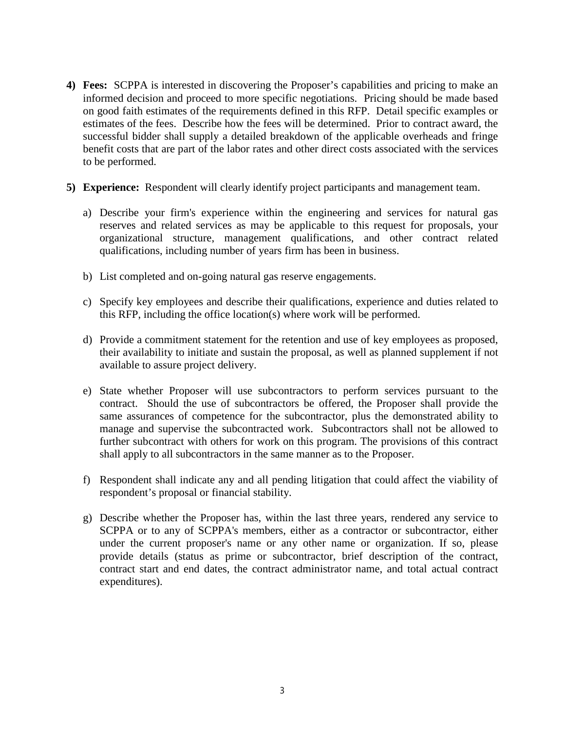- **4) Fees:** SCPPA is interested in discovering the Proposer's capabilities and pricing to make an informed decision and proceed to more specific negotiations. Pricing should be made based on good faith estimates of the requirements defined in this RFP. Detail specific examples or estimates of the fees. Describe how the fees will be determined. Prior to contract award, the successful bidder shall supply a detailed breakdown of the applicable overheads and fringe benefit costs that are part of the labor rates and other direct costs associated with the services to be performed.
- **5) Experience:** Respondent will clearly identify project participants and management team.
	- a) Describe your firm's experience within the engineering and services for natural gas reserves and related services as may be applicable to this request for proposals, your organizational structure, management qualifications, and other contract related qualifications, including number of years firm has been in business.
	- b) List completed and on-going natural gas reserve engagements.
	- c) Specify key employees and describe their qualifications, experience and duties related to this RFP, including the office location(s) where work will be performed.
	- d) Provide a commitment statement for the retention and use of key employees as proposed, their availability to initiate and sustain the proposal, as well as planned supplement if not available to assure project delivery.
	- e) State whether Proposer will use subcontractors to perform services pursuant to the contract. Should the use of subcontractors be offered, the Proposer shall provide the same assurances of competence for the subcontractor, plus the demonstrated ability to manage and supervise the subcontracted work. Subcontractors shall not be allowed to further subcontract with others for work on this program. The provisions of this contract shall apply to all subcontractors in the same manner as to the Proposer.
	- f) Respondent shall indicate any and all pending litigation that could affect the viability of respondent's proposal or financial stability.
	- g) Describe whether the Proposer has, within the last three years, rendered any service to SCPPA or to any of SCPPA's members, either as a contractor or subcontractor, either under the current proposer's name or any other name or organization. If so, please provide details (status as prime or subcontractor, brief description of the contract, contract start and end dates, the contract administrator name, and total actual contract expenditures).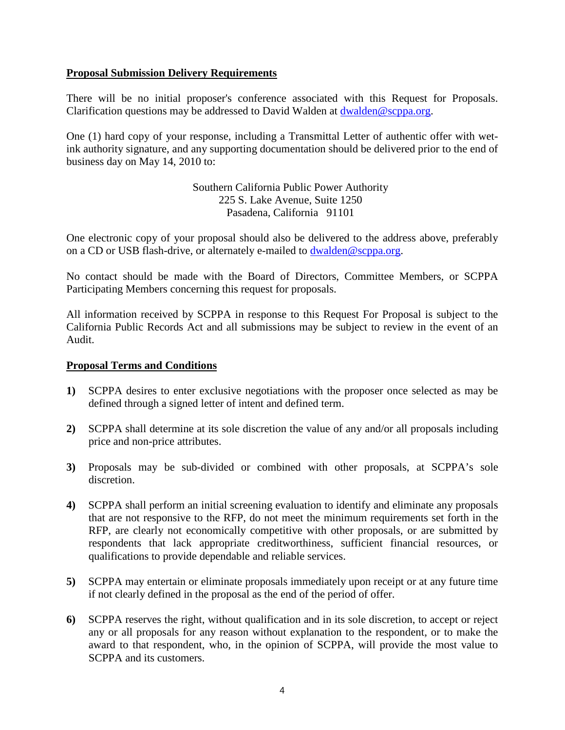### **Proposal Submission Delivery Requirements**

There will be no initial proposer's conference associated with this Request for Proposals. Clarification questions may be addressed to David Walden at [dwalden@scppa.org.](mailto:dwalden@scppa.org)

One (1) hard copy of your response, including a Transmittal Letter of authentic offer with wetink authority signature, and any supporting documentation should be delivered prior to the end of business day on May 14, 2010 to:

> Southern California Public Power Authority 225 S. Lake Avenue, Suite 1250 Pasadena, California 91101

One electronic copy of your proposal should also be delivered to the address above, preferably on a CD or USB flash-drive, or alternately e-mailed to **[dwalden@scppa.org](mailto:dwalden@scppa.org)**.

No contact should be made with the Board of Directors, Committee Members, or SCPPA Participating Members concerning this request for proposals.

All information received by SCPPA in response to this Request For Proposal is subject to the California Public Records Act and all submissions may be subject to review in the event of an Audit.

#### **Proposal Terms and Conditions**

- **1)** SCPPA desires to enter exclusive negotiations with the proposer once selected as may be defined through a signed letter of intent and defined term.
- **2)** SCPPA shall determine at its sole discretion the value of any and/or all proposals including price and non-price attributes.
- **3)** Proposals may be sub-divided or combined with other proposals, at SCPPA's sole discretion.
- **4)** SCPPA shall perform an initial screening evaluation to identify and eliminate any proposals that are not responsive to the RFP, do not meet the minimum requirements set forth in the RFP, are clearly not economically competitive with other proposals, or are submitted by respondents that lack appropriate creditworthiness, sufficient financial resources, or qualifications to provide dependable and reliable services.
- **5)** SCPPA may entertain or eliminate proposals immediately upon receipt or at any future time if not clearly defined in the proposal as the end of the period of offer.
- **6)** SCPPA reserves the right, without qualification and in its sole discretion, to accept or reject any or all proposals for any reason without explanation to the respondent, or to make the award to that respondent, who, in the opinion of SCPPA, will provide the most value to SCPPA and its customers.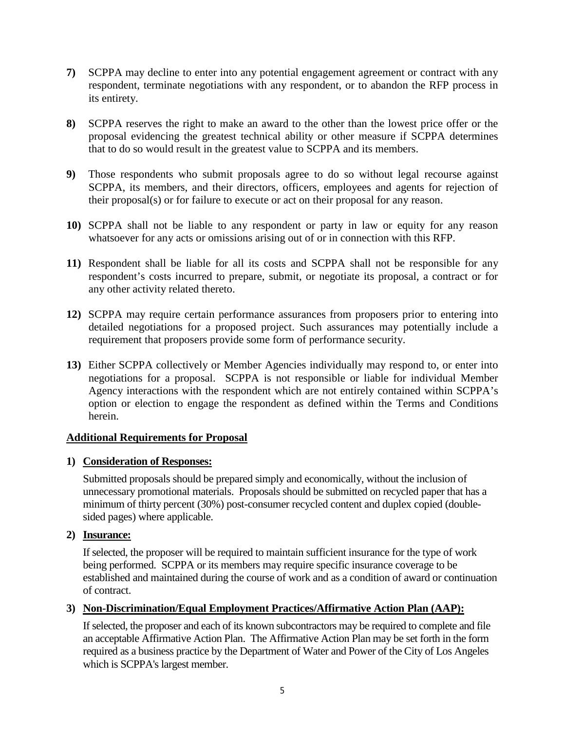- **7)** SCPPA may decline to enter into any potential engagement agreement or contract with any respondent, terminate negotiations with any respondent, or to abandon the RFP process in its entirety.
- **8)** SCPPA reserves the right to make an award to the other than the lowest price offer or the proposal evidencing the greatest technical ability or other measure if SCPPA determines that to do so would result in the greatest value to SCPPA and its members.
- **9)** Those respondents who submit proposals agree to do so without legal recourse against SCPPA, its members, and their directors, officers, employees and agents for rejection of their proposal(s) or for failure to execute or act on their proposal for any reason.
- **10)** SCPPA shall not be liable to any respondent or party in law or equity for any reason whatsoever for any acts or omissions arising out of or in connection with this RFP.
- **11)** Respondent shall be liable for all its costs and SCPPA shall not be responsible for any respondent's costs incurred to prepare, submit, or negotiate its proposal, a contract or for any other activity related thereto.
- **12)** SCPPA may require certain performance assurances from proposers prior to entering into detailed negotiations for a proposed project. Such assurances may potentially include a requirement that proposers provide some form of performance security.
- **13)** Either SCPPA collectively or Member Agencies individually may respond to, or enter into negotiations for a proposal. SCPPA is not responsible or liable for individual Member Agency interactions with the respondent which are not entirely contained within SCPPA's option or election to engage the respondent as defined within the Terms and Conditions herein.

# **Additional Requirements for Proposal**

# **1) Consideration of Responses:**

Submitted proposals should be prepared simply and economically, without the inclusion of unnecessary promotional materials. Proposals should be submitted on recycled paper that has a minimum of thirty percent (30%) post-consumer recycled content and duplex copied (doublesided pages) where applicable.

# **2) Insurance:**

If selected, the proposer will be required to maintain sufficient insurance for the type of work being performed. SCPPA or its members may require specific insurance coverage to be established and maintained during the course of work and as a condition of award or continuation of contract.

# **3) Non-Discrimination/Equal Employment Practices/Affirmative Action Plan (AAP):**

If selected, the proposer and each of its known subcontractors may be required to complete and file an acceptable Affirmative Action Plan. The Affirmative Action Plan may be set forth in the form required as a business practice by the Department of Water and Power of the City of Los Angeles which is SCPPA's largest member.